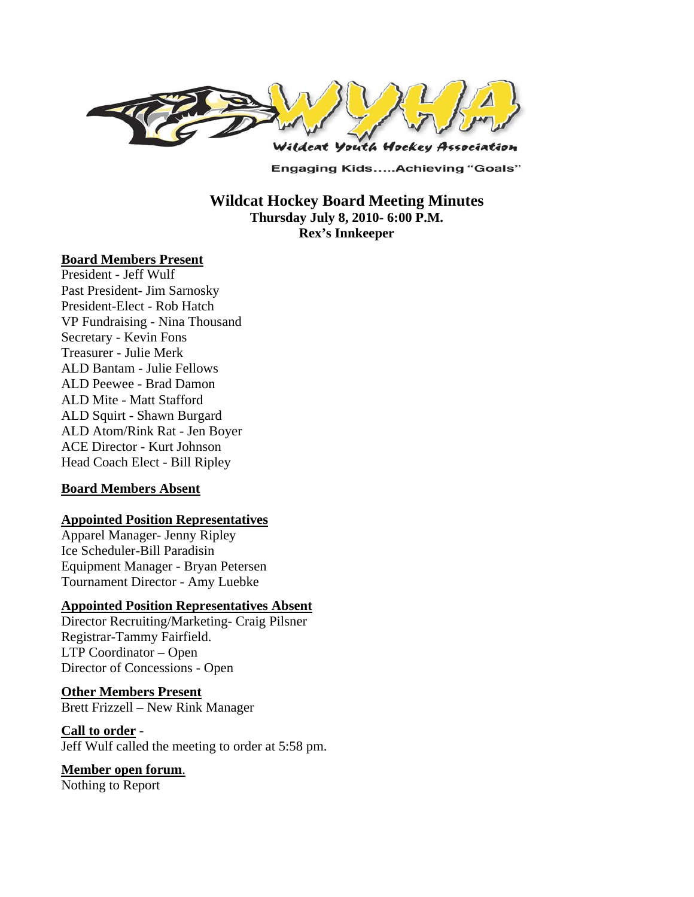

**Engaging Kids.....Achieving "Goals"** 

**Wildcat Hockey Board Meeting Minutes Thursday July 8, 2010- 6:00 P.M. Rex's Innkeeper** 

#### **Board Members Present**

President - Jeff Wulf Past President- Jim Sarnosky President-Elect - Rob Hatch VP Fundraising - Nina Thousand Secretary - Kevin Fons Treasurer - Julie Merk ALD Bantam - Julie Fellows ALD Peewee - Brad Damon ALD Mite - Matt Stafford ALD Squirt - Shawn Burgard ALD Atom/Rink Rat - Jen Boyer ACE Director - Kurt Johnson Head Coach Elect - Bill Ripley

#### **Board Members Absent**

#### **Appointed Position Representatives**

Apparel Manager- Jenny Ripley Ice Scheduler-Bill Paradisin Equipment Manager - Bryan Petersen Tournament Director - Amy Luebke

#### **Appointed Position Representatives Absent**

Director Recruiting/Marketing- Craig Pilsner Registrar-Tammy Fairfield. LTP Coordinator – Open Director of Concessions - Open

#### **Other Members Present**

Brett Frizzell – New Rink Manager

#### **Call to order** -

Jeff Wulf called the meeting to order at 5:58 pm.

# **Member open forum**.

Nothing to Report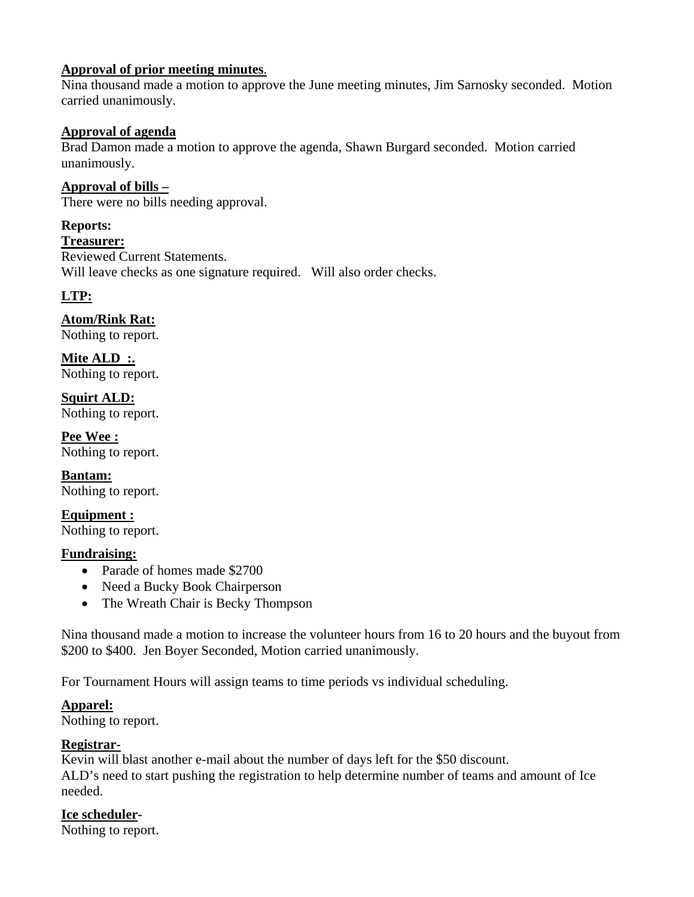#### **Approval of prior meeting minutes**.

Nina thousand made a motion to approve the June meeting minutes, Jim Sarnosky seconded. Motion carried unanimously.

#### **Approval of agenda**

Brad Damon made a motion to approve the agenda, Shawn Burgard seconded. Motion carried unanimously.

**Approval of bills –**  There were no bills needing approval.

**Reports: Treasurer:**  Reviewed Current Statements. Will leave checks as one signature required. Will also order checks.

#### **LTP:**

#### **Atom/Rink Rat:**

Nothing to report.

**Mite ALD :.**  Nothing to report.

**Squirt ALD:**  Nothing to report.

**Pee Wee :**  Nothing to report.

**Bantam:**  Nothing to report.

**Equipment :**  Nothing to report.

#### **Fundraising:**

- Parade of homes made \$2700
- Need a Bucky Book Chairperson
- The Wreath Chair is Becky Thompson

Nina thousand made a motion to increase the volunteer hours from 16 to 20 hours and the buyout from \$200 to \$400. Jen Boyer Seconded, Motion carried unanimously.

For Tournament Hours will assign teams to time periods vs individual scheduling.

# **Apparel:**

Nothing to report.

# **Registrar-**

Kevin will blast another e-mail about the number of days left for the \$50 discount. ALD's need to start pushing the registration to help determine number of teams and amount of Ice needed.

# **Ice scheduler-**

Nothing to report.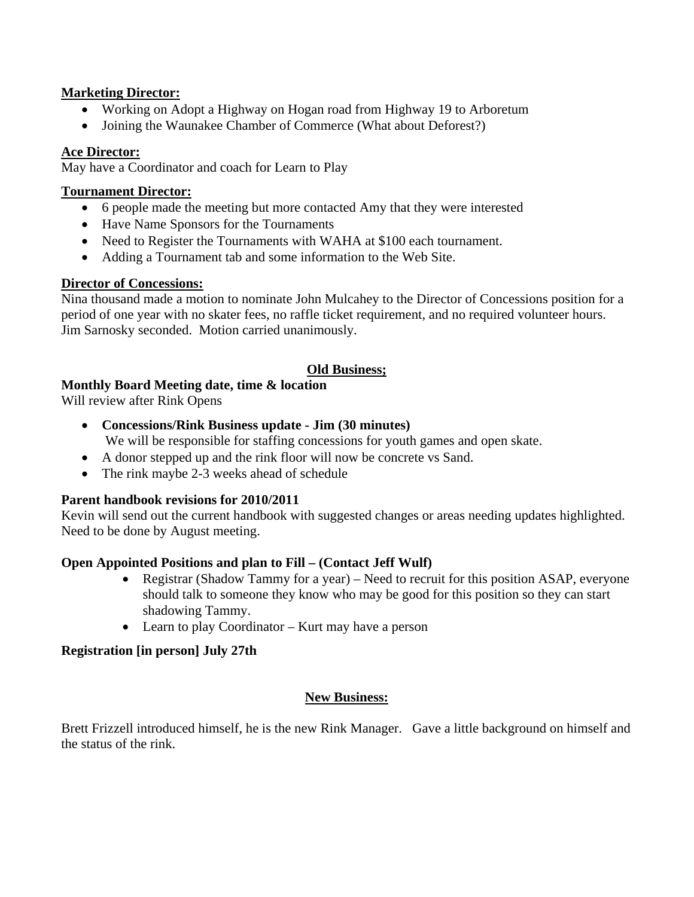#### **Marketing Director:**

- Working on Adopt a Highway on Hogan road from Highway 19 to Arboretum
- Joining the Waunakee Chamber of Commerce (What about Deforest?)

#### **Ace Director:**

May have a Coordinator and coach for Learn to Play

#### **Tournament Director:**

- 6 people made the meeting but more contacted Amy that they were interested
- Have Name Sponsors for the Tournaments
- Need to Register the Tournaments with WAHA at \$100 each tournament.
- Adding a Tournament tab and some information to the Web Site.

#### **Director of Concessions:**

Nina thousand made a motion to nominate John Mulcahey to the Director of Concessions position for a period of one year with no skater fees, no raffle ticket requirement, and no required volunteer hours. Jim Sarnosky seconded. Motion carried unanimously.

# **Old Business;**

# **Monthly Board Meeting date, time & location**

Will review after Rink Opens

- **Concessions/Rink Business update Jim (30 minutes)**  We will be responsible for staffing concessions for youth games and open skate.
- A donor stepped up and the rink floor will now be concrete vs Sand.
- The rink maybe 2-3 weeks ahead of schedule

# **Parent handbook revisions for 2010/2011**

Kevin will send out the current handbook with suggested changes or areas needing updates highlighted. Need to be done by August meeting.

# **Open Appointed Positions and plan to Fill – (Contact Jeff Wulf)**

- Registrar (Shadow Tammy for a year) Need to recruit for this position ASAP, everyone should talk to someone they know who may be good for this position so they can start shadowing Tammy.
- Learn to play Coordinator Kurt may have a person

# **Registration [in person] July 27th**

# **New Business:**

Brett Frizzell introduced himself, he is the new Rink Manager. Gave a little background on himself and the status of the rink.